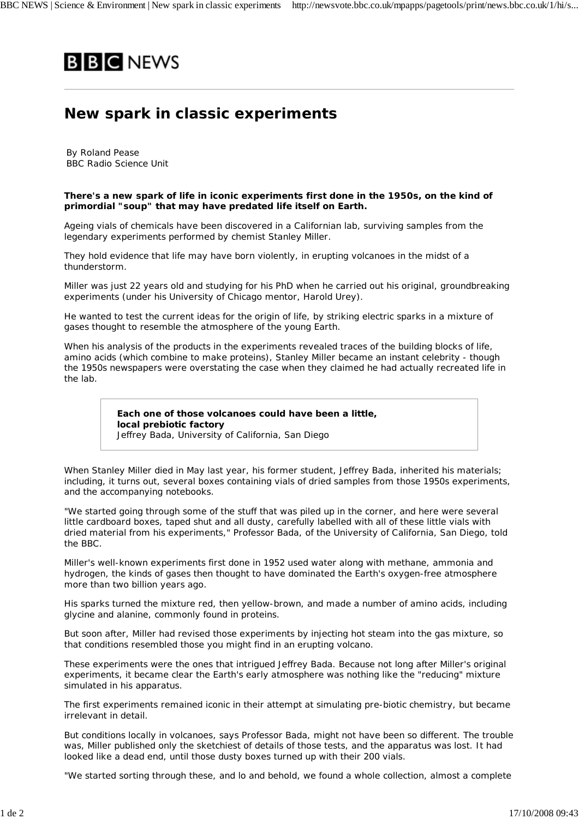

## **New spark in classic experiments**

By Roland Pease BBC Radio Science Unit

## **There's a new spark of life in iconic experiments first done in the 1950s, on the kind of primordial "soup" that may have predated life itself on Earth.**

Ageing vials of chemicals have been discovered in a Californian lab, surviving samples from the legendary experiments performed by chemist Stanley Miller.

They hold evidence that life may have born violently, in erupting volcanoes in the midst of a thunderstorm.

Miller was just 22 years old and studying for his PhD when he carried out his original, groundbreaking experiments (under his University of Chicago mentor, Harold Urey).

He wanted to test the current ideas for the origin of life, by striking electric sparks in a mixture of gases thought to resemble the atmosphere of the young Earth.

When his analysis of the products in the experiments revealed traces of the building blocks of life, amino acids (which combine to make proteins), Stanley Miller became an instant celebrity - though the 1950s newspapers were overstating the case when they claimed he had actually recreated life in the lab.

> **Each one of those volcanoes could have been a little, local prebiotic factory** Jeffrey Bada, University of California, San Diego

When Stanley Miller died in May last year, his former student, Jeffrey Bada, inherited his materials; including, it turns out, several boxes containing vials of dried samples from those 1950s experiments, and the accompanying notebooks.

"We started going through some of the stuff that was piled up in the corner, and here were several little cardboard boxes, taped shut and all dusty, carefully labelled with all of these little vials with dried material from his experiments," Professor Bada, of the University of California, San Diego, told the BBC.

Miller's well-known experiments first done in 1952 used water along with methane, ammonia and hydrogen, the kinds of gases then thought to have dominated the Earth's oxygen-free atmosphere more than two billion years ago.

His sparks turned the mixture red, then yellow-brown, and made a number of amino acids, including glycine and alanine, commonly found in proteins.

But soon after, Miller had revised those experiments by injecting hot steam into the gas mixture, so that conditions resembled those you might find in an erupting volcano.

These experiments were the ones that intrigued Jeffrey Bada. Because not long after Miller's original experiments, it became clear the Earth's early atmosphere was nothing like the "reducing" mixture simulated in his apparatus.

The first experiments remained iconic in their attempt at simulating pre-biotic chemistry, but became irrelevant in detail.

But conditions locally in volcanoes, says Professor Bada, might not have been so different. The trouble was, Miller published only the sketchiest of details of those tests, and the apparatus was lost. It had looked like a dead end, until those dusty boxes turned up with their 200 vials.

"We started sorting through these, and lo and behold, we found a whole collection, almost a complete